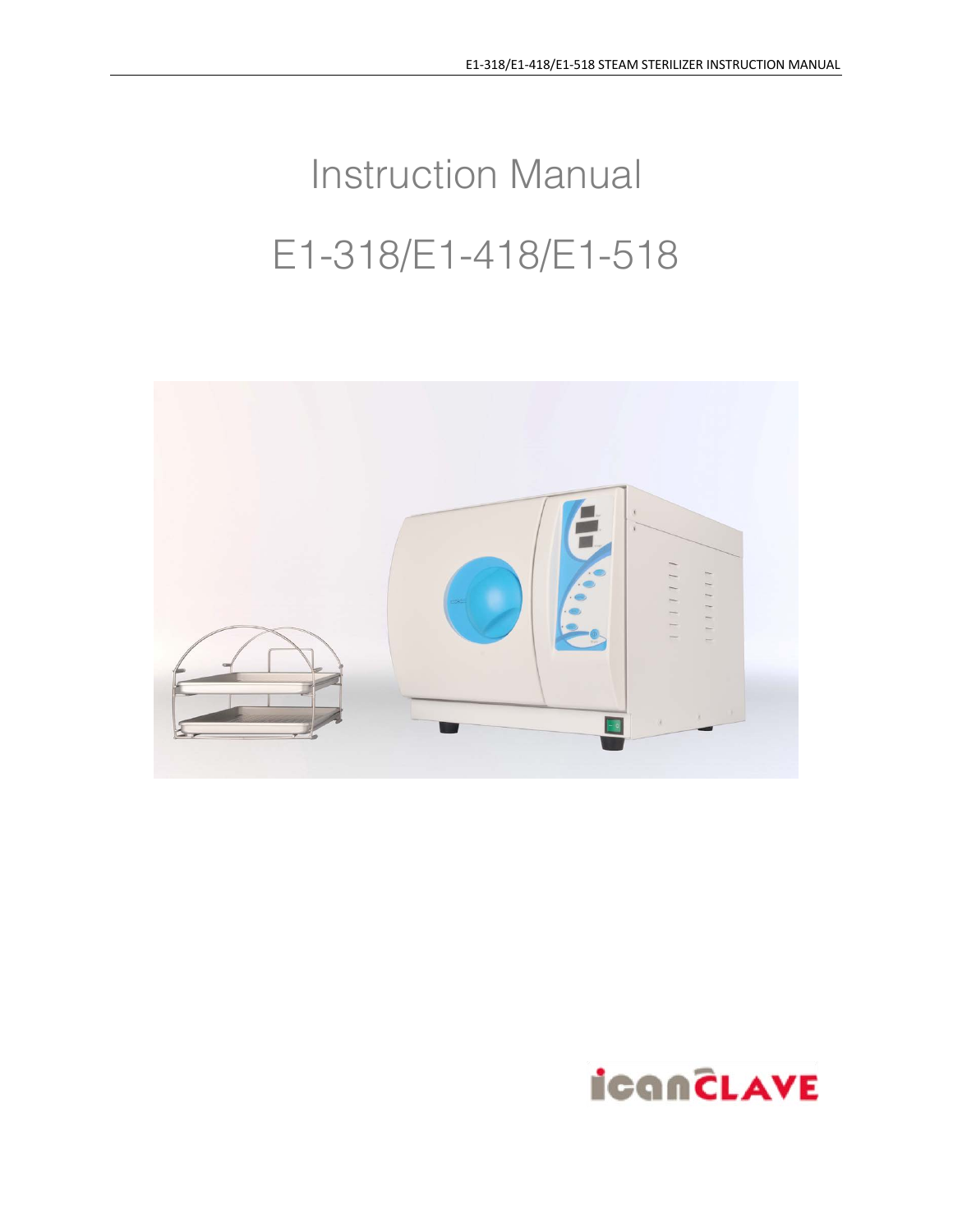# Instruction Manual E1-318/E1-418/E1-518



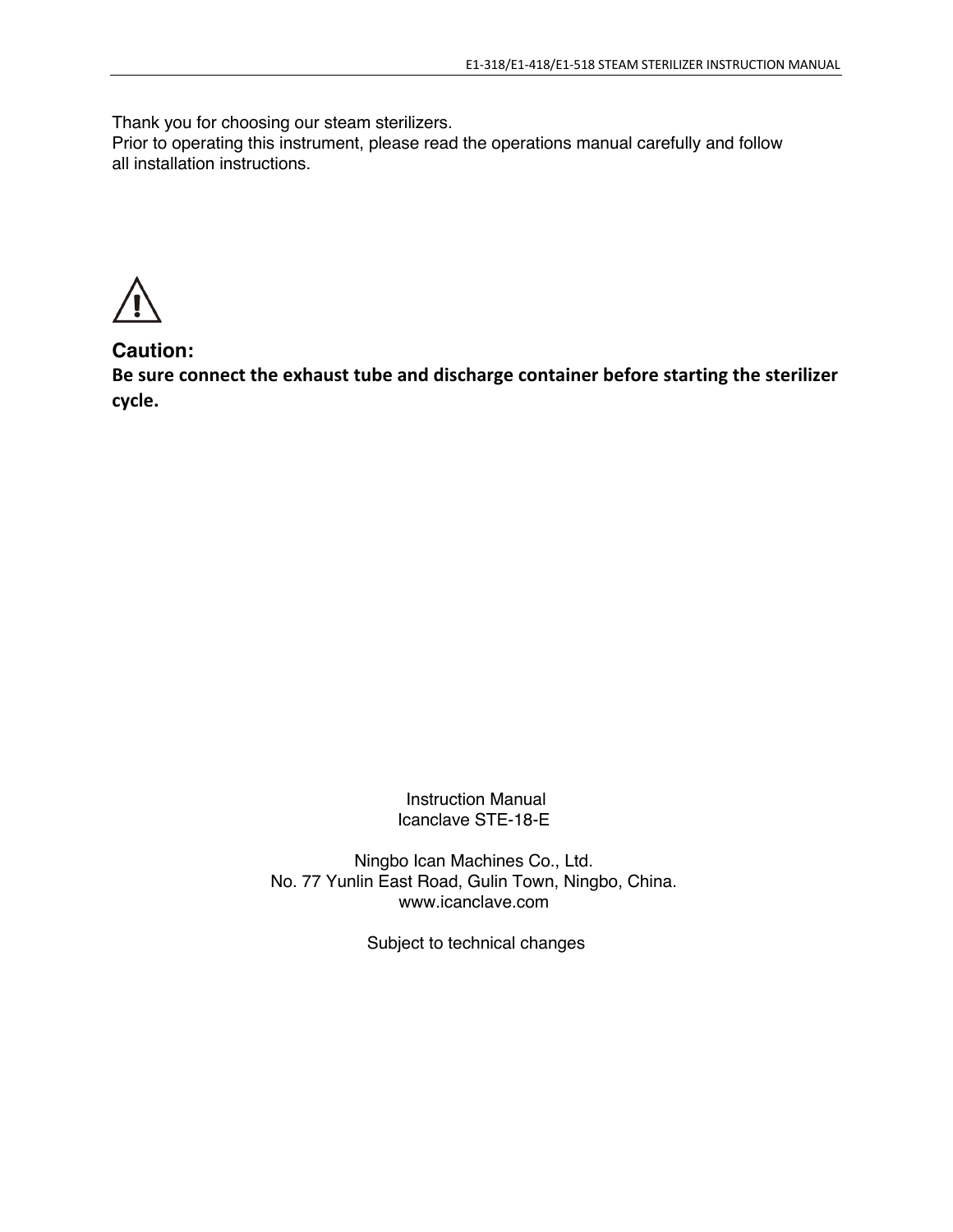Thank you for choosing our steam sterilizers.

Prior to operating this instrument, please read the operations manual carefully and follow all installation instructions.

**Caution:**

**Be sure connect the exhaust tube and discharge container before starting the sterilizer cycle.**

> Instruction Manual Icanclave STE-18-E

Ningbo Ican Machines Co., Ltd. No. 77 Yunlin East Road, Gulin Town, Ningbo, China. www.icanclave.com

Subject to technical changes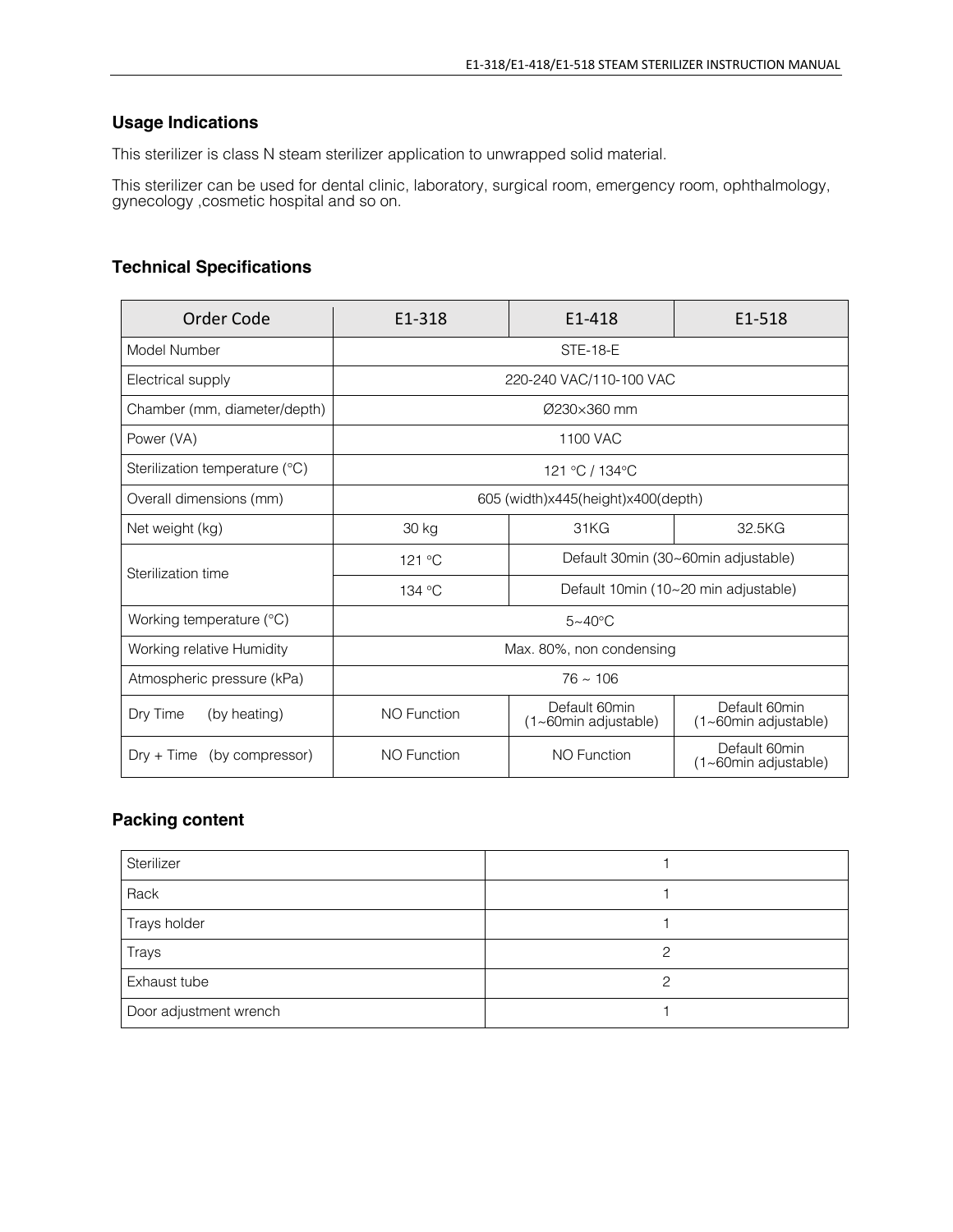## **Usage Indications**

This sterilizer is class N steam sterilizer application to unwrapped solid material.

This sterilizer can be used for dental clinic, laboratory, surgical room, emergency room, ophthalmology, gynecology ,cosmetic hospital and so on.

## **Technical Specifications**

| Order Code                      | E1-318                                        | E1-418                                | E1-518                                        |
|---------------------------------|-----------------------------------------------|---------------------------------------|-----------------------------------------------|
| Model Number                    | <b>STE-18-E</b>                               |                                       |                                               |
| Electrical supply               | 220-240 VAC/110-100 VAC                       |                                       |                                               |
| Chamber (mm, diameter/depth)    | $Ø230\times360$ mm                            |                                       |                                               |
| Power (VA)                      | 1100 VAC                                      |                                       |                                               |
| Sterilization temperature (°C)  | 121 °C / 134 °C                               |                                       |                                               |
| Overall dimensions (mm)         | 605 (width)x445(height)x400(depth)            |                                       |                                               |
| Net weight (kg)                 | 30 kg                                         | 31KG                                  | 32.5KG                                        |
| Sterilization time              | Default 30min (30~60min adjustable)<br>121 °C |                                       |                                               |
|                                 | 134 °C                                        | Default 10min (10~20 min adjustable)  |                                               |
| Working temperature $(°C)$      | $5 \sim 40^{\circ}$ C                         |                                       |                                               |
| Working relative Humidity       | Max. 80%, non condensing                      |                                       |                                               |
| Atmospheric pressure (kPa)      | $76 \approx 106$                              |                                       |                                               |
| Dry Time<br>(by heating)        | <b>NO Function</b>                            | Default 60min<br>(1~60min adjustable) | Default 60min<br>$(1 \sim 60$ min adjustable) |
| (by compressor)<br>$Drv + Time$ | <b>NO Function</b>                            | <b>NO Function</b>                    | Default 60min<br>(1~60min adjustable)         |

## **Packing content**

| Sterilizer             |   |
|------------------------|---|
| Rack                   |   |
| Trays holder           |   |
| Trays                  | ာ |
| Exhaust tube           | ∩ |
| Door adjustment wrench |   |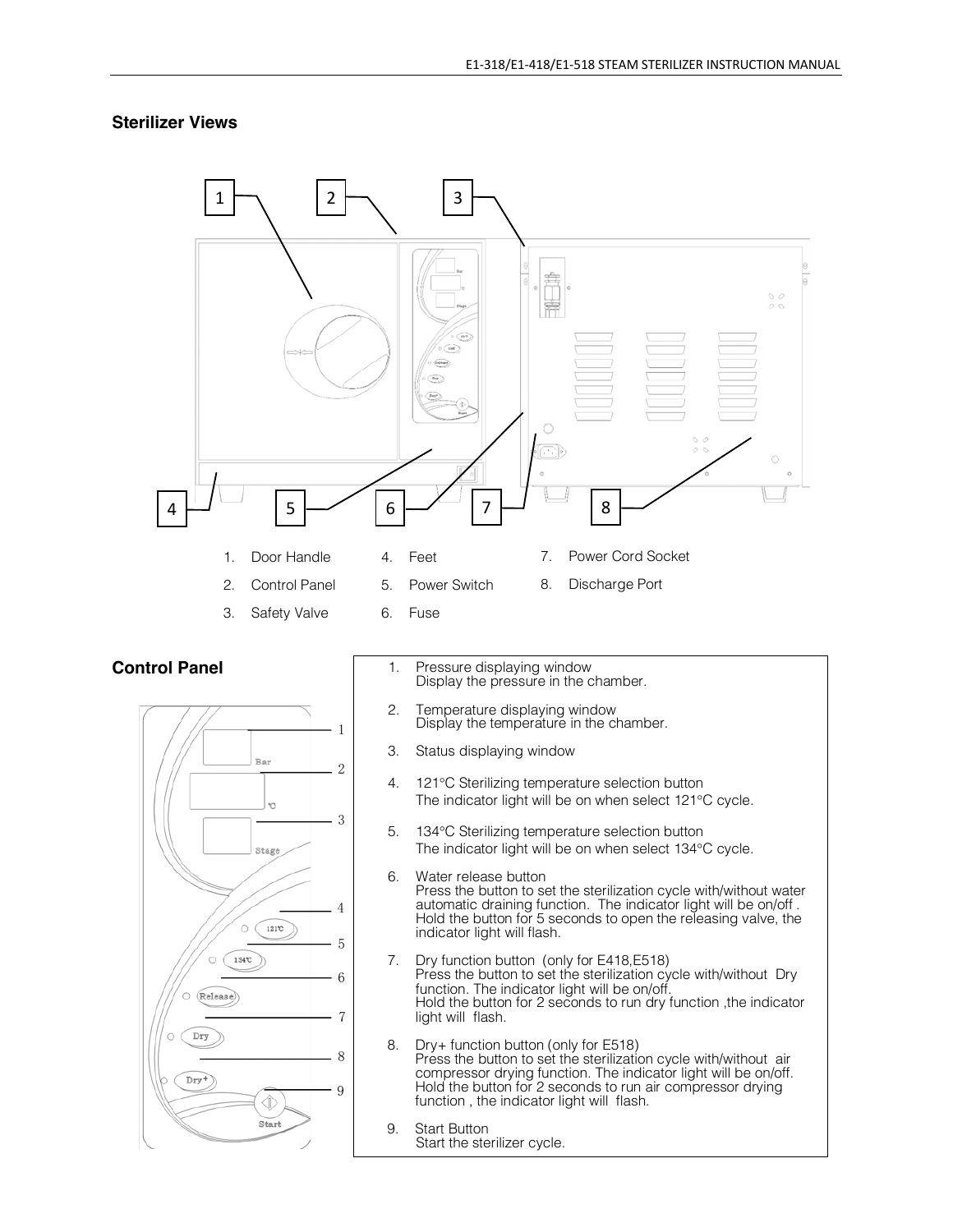## **Sterilizer Views**

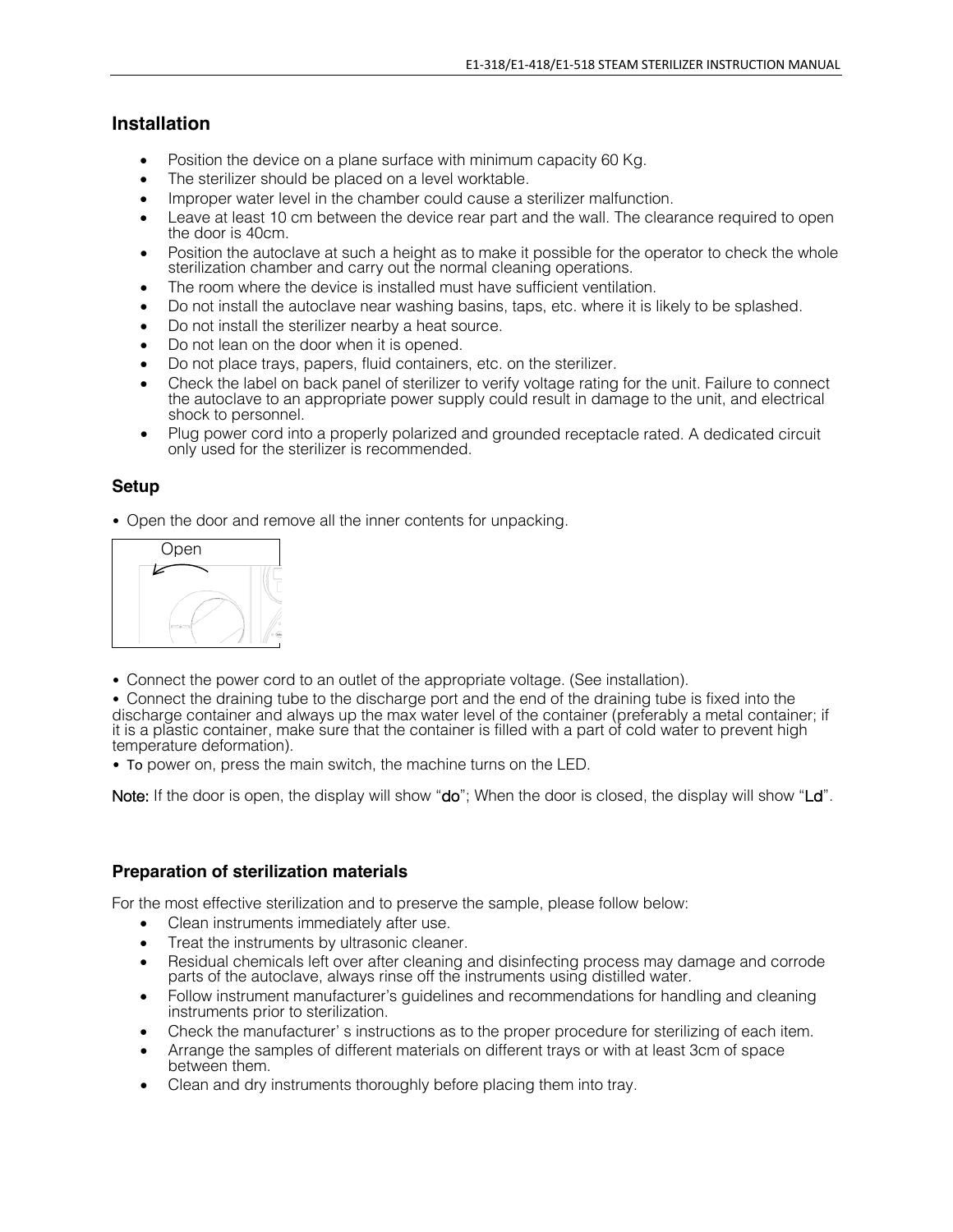## **Installation**

- Position the device on a plane surface with minimum capacity 60 Kg.
- The sterilizer should be placed on a level worktable.
- Improper water level in the chamber could cause a sterilizer malfunction.
- Leave at least 10 cm between the device rear part and the wall. The clearance required to open the door is 40cm.
- Position the autoclave at such a height as to make it possible for the operator to check the whole sterilization chamber and carry out the normal cleaning operations.
- The room where the device is installed must have sufficient ventilation.
- Do not install the autoclave near washing basins, taps, etc. where it is likely to be splashed.
- Do not install the sterilizer nearby a heat source.
- Do not lean on the door when it is opened.
- Do not place trays, papers, fluid containers, etc. on the sterilizer.
- Check the label on back panel of sterilizer to verify voltage rating for the unit. Failure to connect the autoclave to an appropriate power supply could result in damage to the unit, and electrical shock to personnel.
- Plug power cord into a properly polarized and grounded receptacle rated. A dedicated circuit only used for the sterilizer is recommended.

## **Setup**

• Open the door and remove all the inner contents for unpacking.



• Connect the power cord to an outlet of the appropriate voltage. (See installation).

• Connect the draining tube to the discharge port and the end of the draining tube is fixed into the discharge container and always up the max water level of the container (preferably a metal container; if it is a plastic container, make sure that the container is filled with a part of cold water to prevent high temperature deformation).

• To power on, press the main switch, the machine turns on the LED.

Note: If the door is open, the display will show "do"; When the door is closed, the display will show "Ld".

## **Preparation of sterilization materials**

For the most effective sterilization and to preserve the sample, please follow below:

- Clean instruments immediately after use.
- Treat the instruments by ultrasonic cleaner.
- Residual chemicals left over after cleaning and disinfecting process may damage and corrode parts of the autoclave, always rinse off the instruments using distilled water.
- Follow instrument manufacturer's guidelines and recommendations for handling and cleaning instruments prior to sterilization.
- Check the manufacturer' s instructions as to the proper procedure for sterilizing of each item.
- Arrange the samples of different materials on different trays or with at least 3cm of space between them.
- Clean and dry instruments thoroughly before placing them into tray.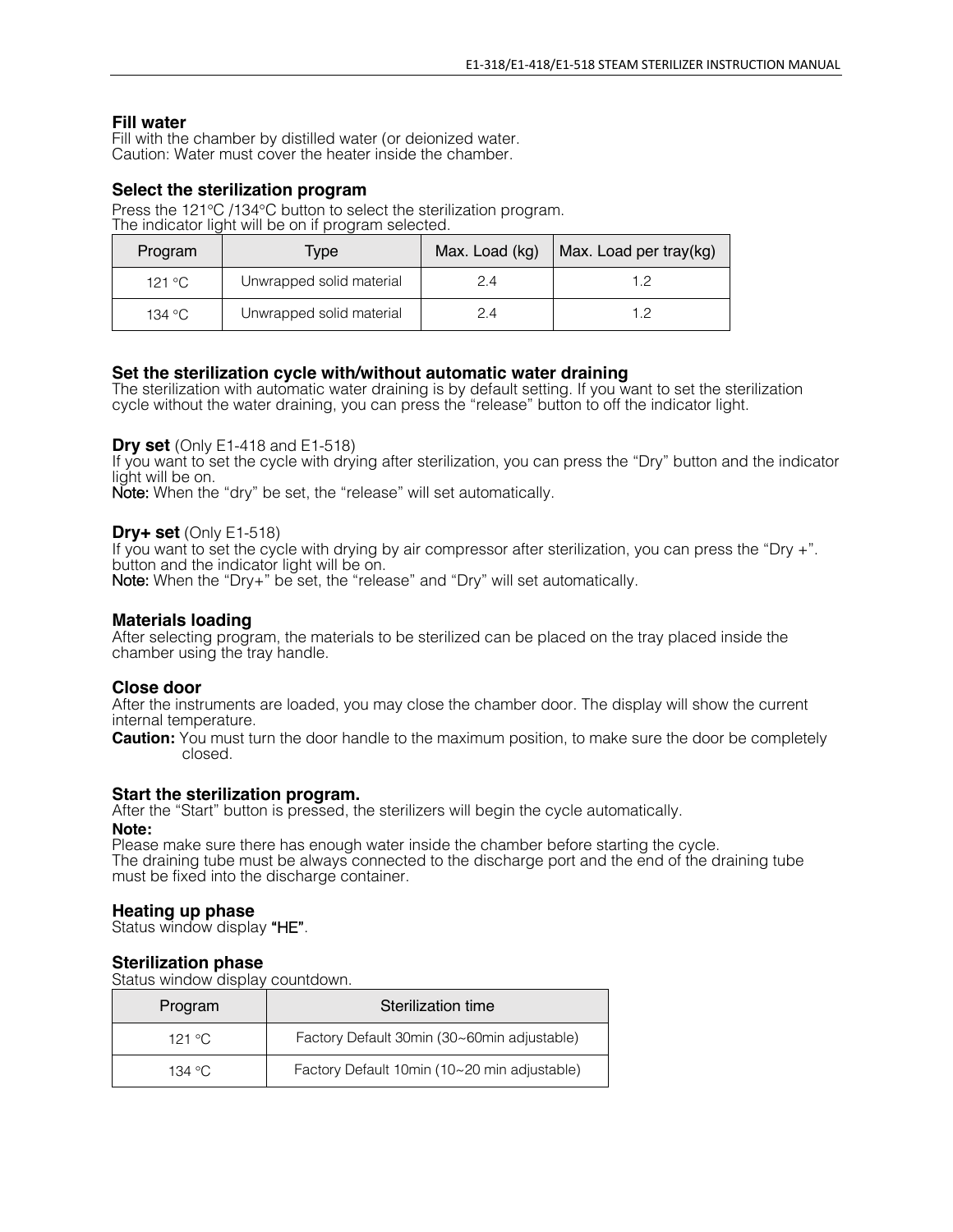## **Fill water**

Fill with the chamber by distilled water (or deionized water. Caution: Water must cover the heater inside the chamber.

## **Select the sterilization program**

Press the 121°C /134°C button to select the sterilization program. The indicator light will be on if program selected.

| Program | Type                     | Max. Load (kg) | Max. Load per tray(kg) |
|---------|--------------------------|----------------|------------------------|
| 121 °C  | Unwrapped solid material | 2.4            |                        |
| 134 °C  | Unwrapped solid material | 24             | 1 2                    |

## **Set the sterilization cycle with/without automatic water draining**

The sterilization with automatic water draining is by default setting. If you want to set the sterilization cycle without the water draining, you can press the "release" button to off the indicator light.

#### **Dry set** (Only E1-418 and E1-518)

If you want to set the cycle with drying after sterilization, you can press the "Dry" button and the indicator<br>light will be on.

Note: When the "dry" be set, the "release" will set automatically.

#### **Dry+ set** (Only E1-518)

If you want to set the cycle with drying by air compressor after sterilization, you can press the "Dry +".<br>button and the indicator light will be on.

Note: When the "Dry+" be set, the "release" and "Dry" will set automatically.

#### **Materials loading**

After selecting program, the materials to be sterilized can be placed on the tray placed inside the chamber using the tray handle.

#### **Close door**

After the instruments are loaded, you may close the chamber door. The display will show the current internal temperature.

**Caution:** You must turn the door handle to the maximum position, to make sure the door be completely closed.

#### **Start the sterilization program.**

After the "Start" button is pressed, the sterilizers will begin the cycle automatically.

#### **Note:**

Please make sure there has enough water inside the chamber before starting the cycle. The draining tube must be always connected to the discharge port and the end of the draining tube must be fixed into the discharge container.

#### **Heating up phase**

Status window display "HE".

## **Sterilization phase**

Status window display countdown.

| Program | Sterilization time                           |
|---------|----------------------------------------------|
| 121 °C  | Factory Default 30min (30~60min adjustable)  |
| 134 °C. | Factory Default 10min (10~20 min adjustable) |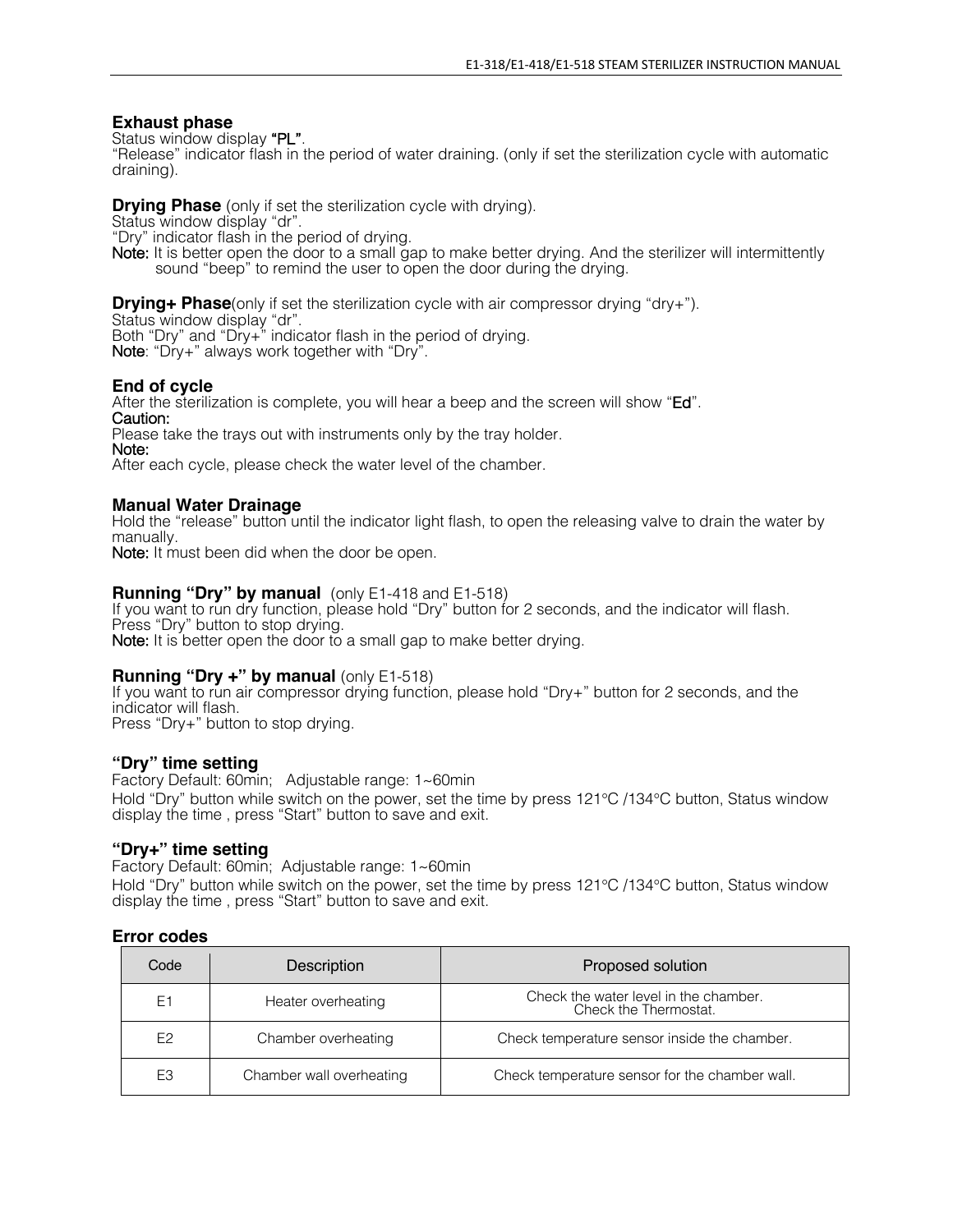## **Exhaust phase**

Status window display "PL".<br>"Release" indicator flash in the period of water draining. (only if set the sterilization cycle with automatic draining).

**Drying Phase** (only if set the sterilization cycle with drying). Status window display "dr".<br>"Dry" indicator flash in the period of drying.

Note: It is better open the door to a small gap to make better drying. And the sterilizer will intermittently sound "beep" to remind the user to open the door during the drying.

**Drying+ Phase**(only if set the sterilization cycle with air compressor drying "dry+"). Status window display "dr". Both "Dry" and "Dry+" indicator flash in the period of drying. Note: "Dry+" always work together with "Dry".

## **End of cycle**

After the sterilization is complete, you will hear a beep and the screen will show "Ed". Caution:

Please take the trays out with instruments only by the tray holder.

Note:

After each cycle, please check the water level of the chamber.

## **Manual Water Drainage**

Hold the "release" button until the indicator light flash, to open the releasing valve to drain the water by manually.

Note: It must been did when the door be open.

## **Running "Dry" by manual** (only E1-418 and E1-518)

If you want to run dry function, please hold "Dry" button for 2 seconds, and the indicator will flash. Press "Dry" button to stop drying. Note: It is better open the door to a small gap to make better drying.

## **Running "Dry +" by manual** (only E1-518)

If you want to run air compressor drying function, please hold "Dry+" button for 2 seconds, and the indicator will flash.

Press "Dry+" button to stop drying.

## **"Dry" time setting**

Factory Default: 60min; Adjustable range: 1~60min Hold "Dry" button while switch on the power, set the time by press 121°C /134°C button, Status window display the time , press "Start" button to save and exit.

## **"Dry+" time setting**

Factory Default: 60min; Adjustable range: 1~60min

Hold "Dry" button while switch on the power, set the time by press 121°C /134°C button, Status window display the time , press "Start" button to save and exit.

## **Error codes**

| Code           | Description              | Proposed solution                                              |
|----------------|--------------------------|----------------------------------------------------------------|
| E1             | Heater overheating       | Check the water level in the chamber.<br>Check the Thermostat. |
| E <sub>2</sub> | Chamber overheating      | Check temperature sensor inside the chamber.                   |
| E <sub>3</sub> | Chamber wall overheating | Check temperature sensor for the chamber wall.                 |